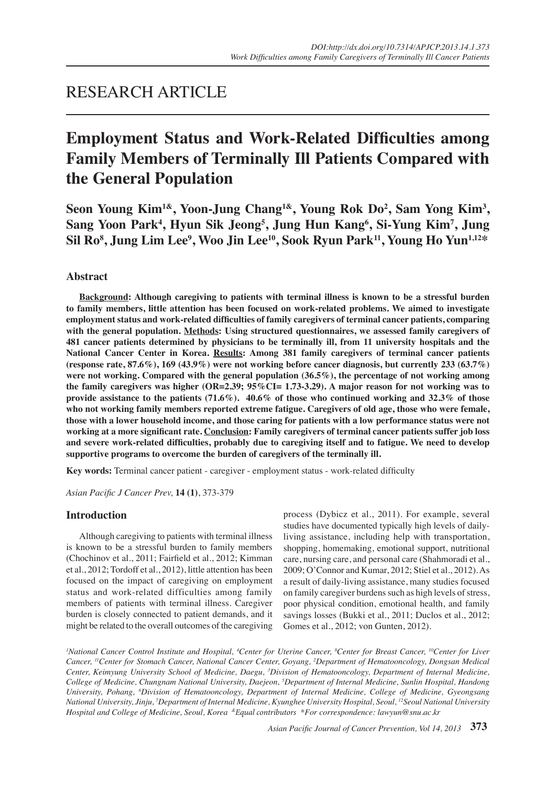## RESEARCH ARTICLE

# **Employment Status and Work-Related Difficulties among Family Members of Terminally Ill Patients Compared with the General Population**

**Seon Young Kim1&, Yoon-Jung Chang1&, Young Rok Do<sup>2</sup> , Sam Yong Kim<sup>3</sup> , Sang Yoon Park<sup>4</sup> , Hyun Sik Jeong<sup>5</sup> , Jung Hun Kang<sup>6</sup> , Si-Yung Kim<sup>7</sup> , Jung Sil Ro8 , Jung Lim Lee<sup>9</sup> , Woo Jin Lee10, Sook Ryun Park11, Young Ho Yun1,12\***

## **Abstract**

**Background: Although caregiving to patients with terminal illness is known to be a stressful burden to family members, little attention has been focused on work-related problems. We aimed to investigate employment status and work-related difficulties of family caregivers of terminal cancer patients, comparing with the general population. Methods: Using structured questionnaires, we assessed family caregivers of 481 cancer patients determined by physicians to be terminally ill, from 11 university hospitals and the National Cancer Center in Korea. Results: Among 381 family caregivers of terminal cancer patients (response rate, 87.6%), 169 (43.9%) were not working before cancer diagnosis, but currently 233 (63.7%) were not working. Compared with the general population (36.5%), the percentage of not working among the family caregivers was higher (OR=2.39; 95%CI= 1.73-3.29). A major reason for not working was to provide assistance to the patients (71.6%). 40.6% of those who continued working and 32.3% of those who not working family members reported extreme fatigue. Caregivers of old age, those who were female, those with a lower household income, and those caring for patients with a low performance status were not working at a more significant rate. Conclusion: Family caregivers of terminal cancer patients suffer job loss and severe work-related difficulties, probably due to caregiving itself and to fatigue. We need to develop supportive programs to overcome the burden of caregivers of the terminally ill.**

**Key words:** Terminal cancer patient - caregiver - employment status - work-related difficulty

*Asian Pacific J Cancer Prev,* **14 (1)**, 373-379

## **Introduction**

Although caregiving to patients with terminal illness is known to be a stressful burden to family members (Chochinov et al., 2011; Fairfield et al., 2012; Kimman et al., 2012; Tordoff et al., 2012), little attention has been focused on the impact of caregiving on employment status and work-related difficulties among family members of patients with terminal illness. Caregiver burden is closely connected to patient demands, and it might be related to the overall outcomes of the caregiving

process (Dybicz et al., 2011). For example, several studies have documented typically high levels of dailyliving assistance, including help with transportation, shopping, homemaking, emotional support, nutritional care, nursing care, and personal care (Shahmoradi et al., 2009; O'Connor and Kumar, 2012; Stiel et al., 2012). As a result of daily-living assistance, many studies focused on family caregiver burdens such as high levels of stress, poor physical condition, emotional health, and family savings losses (Bukki et al., 2011; Duclos et al., 2012; Gomes et al., 2012; von Gunten, 2012).

<sup>*I*</sup>National Cancer Control Institute and Hospital, <sup>4</sup>Center for Uterine Cancer, <sup>8</sup>Center for Breast Cancer, <sup>10</sup>Center for Liver *Cancer, 11Center for Stomach Cancer, National Cancer Center, Goyang, 2 Department of Hematooncology, Dongsan Medical Center, Keimyung University School of Medicine, Daegu, 3 Division of Hematooncology, Department of Internal Medicine, College of Medicine, Chungnam National University, Daejeon, 5 Department of Internal Medicine, Sunlin Hospital, Handong University, Pohang, 6 Division of Hematooncology, Department of Internal Medicine, College of Medicine, Gyeongsang National University, Jinju, 7 Department of Internal Medicine, Kyunghee University Hospital, Seoul, 12Seoul National University Hospital and College of Medicine, Seoul, Korea &Equal contributors \*For correspondence: lawyun@snu.ac.kr* 

*Asian Pacific Journal of Cancer Prevention, Vol 14, 2013* **373**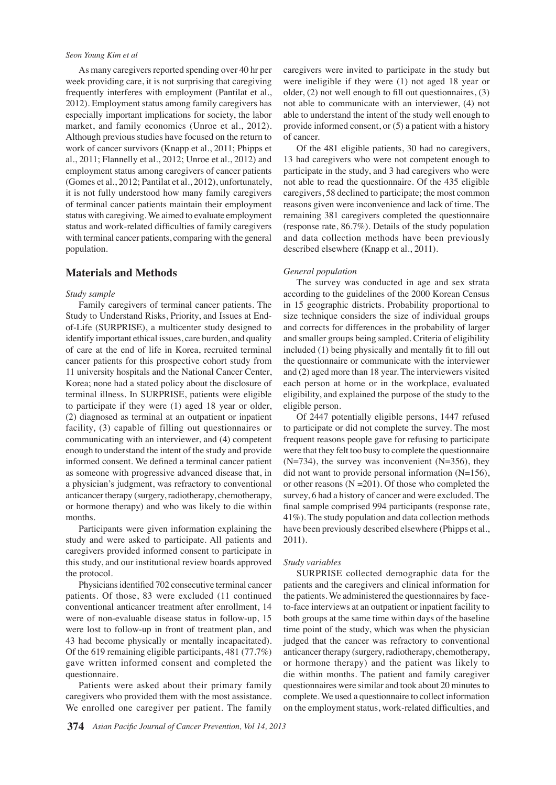#### *Seon Young Kim et al*

As many caregivers reported spending over 40 hr per week providing care, it is not surprising that caregiving frequently interferes with employment (Pantilat et al., 2012). Employment status among family caregivers has especially important implications for society, the labor market, and family economics (Unroe et al., 2012). Although previous studies have focused on the return to work of cancer survivors (Knapp et al., 2011; Phipps et al., 2011; Flannelly et al., 2012; Unroe et al., 2012) and employment status among caregivers of cancer patients (Gomes et al., 2012; Pantilat et al., 2012), unfortunately, it is not fully understood how many family caregivers of terminal cancer patients maintain their employment status with caregiving. We aimed to evaluate employment status and work-related difficulties of family caregivers with terminal cancer patients, comparing with the general population.

## **Materials and Methods**

#### *Study sample*

Family caregivers of terminal cancer patients. The Study to Understand Risks, Priority, and Issues at Endof-Life (SURPRISE), a multicenter study designed to identify important ethical issues, care burden, and quality of care at the end of life in Korea, recruited terminal cancer patients for this prospective cohort study from 11 university hospitals and the National Cancer Center, Korea; none had a stated policy about the disclosure of terminal illness. In SURPRISE, patients were eligible to participate if they were (1) aged 18 year or older, (2) diagnosed as terminal at an outpatient or inpatient facility, (3) capable of filling out questionnaires or communicating with an interviewer, and (4) competent enough to understand the intent of the study and provide informed consent. We defined a terminal cancer patient as someone with progressive advanced disease that, in a physician's judgment, was refractory to conventional anticancer therapy (surgery, radiotherapy, chemotherapy, or hormone therapy) and who was likely to die within months.

Participants were given information explaining the study and were asked to participate. All patients and caregivers provided informed consent to participate in this study, and our institutional review boards approved the protocol.

Physicians identified 702 consecutive terminal cancer patients. Of those, 83 were excluded (11 continued conventional anticancer treatment after enrollment, 14 were of non-evaluable disease status in follow-up, 15 were lost to follow-up in front of treatment plan, and 43 had become physically or mentally incapacitated). Of the 619 remaining eligible participants, 481 (77.7%) gave written informed consent and completed the questionnaire.

Patients were asked about their primary family caregivers who provided them with the most assistance. We enrolled one caregiver per patient. The family caregivers were invited to participate in the study but were ineligible if they were (1) not aged 18 year or older, (2) not well enough to fill out questionnaires, (3) not able to communicate with an interviewer, (4) not able to understand the intent of the study well enough to provide informed consent, or (5) a patient with a history of cancer.

Of the 481 eligible patients, 30 had no caregivers, 13 had caregivers who were not competent enough to participate in the study, and 3 had caregivers who were not able to read the questionnaire. Of the 435 eligible caregivers, 58 declined to participate; the most common reasons given were inconvenience and lack of time. The remaining 381 caregivers completed the questionnaire (response rate, 86.7%). Details of the study population and data collection methods have been previously described elsewhere (Knapp et al., 2011).

## *General population*

The survey was conducted in age and sex strata according to the guidelines of the 2000 Korean Census in 15 geographic districts. Probability proportional to size technique considers the size of individual groups and corrects for differences in the probability of larger and smaller groups being sampled. Criteria of eligibility included (1) being physically and mentally fit to fill out the questionnaire or communicate with the interviewer and (2) aged more than 18 year. The interviewers visited each person at home or in the workplace, evaluated eligibility, and explained the purpose of the study to the eligible person.

Of 2447 potentially eligible persons, 1447 refused to participate or did not complete the survey. The most frequent reasons people gave for refusing to participate were that they felt too busy to complete the questionnaire  $(N=734)$ , the survey was inconvenient  $(N=356)$ , they did not want to provide personal information (N=156), or other reasons  $(N = 201)$ . Of those who completed the survey, 6 had a history of cancer and were excluded. The final sample comprised 994 participants (response rate, 41%). The study population and data collection methods have been previously described elsewhere (Phipps et al., 2011).

#### *Study variables*

SURPRISE collected demographic data for the patients and the caregivers and clinical information for the patients. We administered the questionnaires by faceto-face interviews at an outpatient or inpatient facility to both groups at the same time within days of the baseline time point of the study, which was when the physician judged that the cancer was refractory to conventional anticancer therapy (surgery, radiotherapy, chemotherapy, or hormone therapy) and the patient was likely to die within months. The patient and family caregiver questionnaires were similar and took about 20 minutes to complete. We used a questionnaire to collect information on the employment status, work-related difficulties, and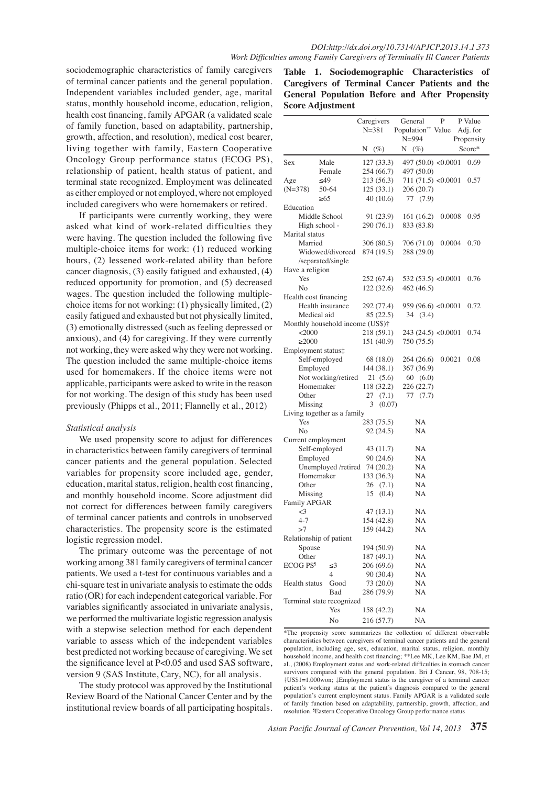sociodemographic characteristics of family caregivers of terminal cancer patients and the general population. Independent variables included gender, age, marital status, monthly household income, education, religion, health cost financing, family APGAR (a validated scale of family function, based on adaptability, partnership, growth, affection, and resolution), medical cost bearer, living together with family, Eastern Cooperative Oncology Group performance status (ECOG PS), relationship of patient, health status of patient, and terminal state recognized. Employment was delineated as either employed or not employed, where not employed included caregivers who were homemakers or retired.

If participants were currently working, they were asked what kind of work-related difficulties they were having. The question included the following five multiple-choice items for work: (1) reduced working hours, (2) lessened work-related ability than before cancer diagnosis, (3) easily fatigued and exhausted, (4) reduced opportunity for promotion, and (5) decreased wages. The question included the following multiplechoice items for not working: (1) physically limited, (2) easily fatigued and exhausted but not physically limited, (3) emotionally distressed (such as feeling depressed or anxious), and (4) for caregiving. If they were currently not working, they were asked why they were not working. The question included the same multiple-choice items used for homemakers. If the choice items were not applicable, participants were asked to write in the reason for not working. The design of this study has been used previously (Phipps et al., 2011; Flannelly et al., 2012)

#### *Statistical analysis*

We used propensity score to adjust for differences in characteristics between family caregivers of terminal cancer patients and the general population. Selected variables for propensity score included age, gender, education, marital status, religion, health cost financing, and monthly household income. Score adjustment did not correct for differences between family caregivers of terminal cancer patients and controls in unobserved characteristics. The propensity score is the estimated logistic regression model.

The primary outcome was the percentage of not working among 381 family caregivers of terminal cancer patients. We used a t-test for continuous variables and a chi-square test in univariate analysis to estimate the odds ratio (OR) for each independent categorical variable. For variables significantly associated in univariate analysis, we performed the multivariate logistic regression analysis with a stepwise selection method for each dependent variable to assess which of the independent variables best predicted not working because of caregiving. We set the significance level at P<0.05 and used SAS software, version 9 (SAS Institute, Cary, NC), for all analysis.

The study protocol was approved by the Institutional Review Board of the National Cancer Center and by the institutional review boards of all participating hospitals.

**Table 1. Sociodemographic Characteristics of Caregivers of Terminal Cancer Patients and the General Population Before and After Propensity Score Adjustment**

| Caregivers<br>$N = 381$<br>Population <sup>**</sup> Value<br>Adj. for<br>$N = 994$<br>Propensity<br>Score*<br>$(\%)$<br>N<br>$(\%)$<br>N<br>Sex<br>Male<br>127 (33.3)<br>497 $(50.0)$ <0.0001<br>0.69<br>254 (66.7)<br>497 (50.0)<br>Female<br>Age<br>≤49<br>213 (56.3)<br>711(71.5) < 0.0001<br>0.57<br>$(N=378)$<br>50-64<br>125(33.1)<br>206 (20.7)<br>$\geq 65$<br>40 (10.6)<br>77 (7.9)<br>Education<br>Middle School<br>0.0008<br>0.95<br>91 (23.9)<br>161 (16.2)<br>High school -<br>290 (76.1)<br>833 (83.8)<br>Marital status<br>Married<br>0.0004<br>306 (80.5)<br>706 (71.0)<br>0.70<br>Widowed/divorced<br>874 (19.5)<br>288 (29.0)<br>/separated/single<br>Have a religion<br>Yes<br>532 (53.5) < $0.0001$<br>252 (67.4)<br>0.76<br>No<br>122 (32.6)<br>462 (46.5)<br>Health cost financing<br>Health insurance<br>959 (96.6) <0.0001<br>0.72<br>292 (77.4)<br>Medical aid<br>85 (22.5)<br>34 (3.4)<br>Monthly household income (US\$)†<br>218 (59.1)<br>243(24.5) < 0.0001<br><2000<br>0.74<br>750 (75.5)<br>$\geq$ 2000<br>151 (40.9)<br>Employment status‡<br>Self-employed<br>68 (18.0)<br>264 (26.6)<br>0.0021<br>0.08<br>Employed<br>144 (38.1)<br>367 (36.9)<br>Not working/retired<br>21(5.6)<br>60(6.0)<br>226 (22.7)<br>Homemaker<br>118 (32.2)<br>Other<br>27<br>(7.1)<br>77 (7.7)<br>3<br>(0.07)<br>Missing<br>Living together as a family<br>Yes<br>283 (75.5)<br>NA<br>No<br>92 (24.5)<br>NA<br>Current employment<br>Self-employed<br>NA<br>43 (11.7)<br>Employed<br>90 (24.6)<br>NA<br>Unemployed /retired<br>74 (20.2)<br>NA<br>133 (36.3)<br>Homemaker<br>NA<br>Other<br>26(7.1)<br>NA<br>(0.4)<br>NA<br>Missing<br>15<br>Family APGAR<br>$\leq$ 3<br>47 (13.1)<br>NА<br>$4 - 7$<br>154 (42.8)<br>NA<br>159 (44.2)<br>>7<br><b>NA</b><br>Relationship of patient<br>194 (50.9)<br>NA<br>Spouse<br>Other<br>NA<br>187 (49.1)<br>ECOG PS <sup>9</sup><br>206 (69.6)<br>NA<br>≤3<br>4<br>90 (30.4)<br>NA<br>Health status<br>Good<br>73 (20.0)<br>NA<br>Bad<br>286 (79.9)<br>NA<br>Terminal state recognized<br>Yes<br>NA<br>158 (42.2)<br>No<br>216 (57.7)<br>NA |  |  |  |  |  |  | General | P | P Value |
|-----------------------------------------------------------------------------------------------------------------------------------------------------------------------------------------------------------------------------------------------------------------------------------------------------------------------------------------------------------------------------------------------------------------------------------------------------------------------------------------------------------------------------------------------------------------------------------------------------------------------------------------------------------------------------------------------------------------------------------------------------------------------------------------------------------------------------------------------------------------------------------------------------------------------------------------------------------------------------------------------------------------------------------------------------------------------------------------------------------------------------------------------------------------------------------------------------------------------------------------------------------------------------------------------------------------------------------------------------------------------------------------------------------------------------------------------------------------------------------------------------------------------------------------------------------------------------------------------------------------------------------------------------------------------------------------------------------------------------------------------------------------------------------------------------------------------------------------------------------------------------------------------------------------------------------------------------------------------------------------------------------------------------------------------------------------------------------------------|--|--|--|--|--|--|---------|---|---------|
|                                                                                                                                                                                                                                                                                                                                                                                                                                                                                                                                                                                                                                                                                                                                                                                                                                                                                                                                                                                                                                                                                                                                                                                                                                                                                                                                                                                                                                                                                                                                                                                                                                                                                                                                                                                                                                                                                                                                                                                                                                                                                               |  |  |  |  |  |  |         |   |         |
|                                                                                                                                                                                                                                                                                                                                                                                                                                                                                                                                                                                                                                                                                                                                                                                                                                                                                                                                                                                                                                                                                                                                                                                                                                                                                                                                                                                                                                                                                                                                                                                                                                                                                                                                                                                                                                                                                                                                                                                                                                                                                               |  |  |  |  |  |  |         |   |         |
|                                                                                                                                                                                                                                                                                                                                                                                                                                                                                                                                                                                                                                                                                                                                                                                                                                                                                                                                                                                                                                                                                                                                                                                                                                                                                                                                                                                                                                                                                                                                                                                                                                                                                                                                                                                                                                                                                                                                                                                                                                                                                               |  |  |  |  |  |  |         |   |         |
|                                                                                                                                                                                                                                                                                                                                                                                                                                                                                                                                                                                                                                                                                                                                                                                                                                                                                                                                                                                                                                                                                                                                                                                                                                                                                                                                                                                                                                                                                                                                                                                                                                                                                                                                                                                                                                                                                                                                                                                                                                                                                               |  |  |  |  |  |  |         |   |         |
|                                                                                                                                                                                                                                                                                                                                                                                                                                                                                                                                                                                                                                                                                                                                                                                                                                                                                                                                                                                                                                                                                                                                                                                                                                                                                                                                                                                                                                                                                                                                                                                                                                                                                                                                                                                                                                                                                                                                                                                                                                                                                               |  |  |  |  |  |  |         |   |         |
|                                                                                                                                                                                                                                                                                                                                                                                                                                                                                                                                                                                                                                                                                                                                                                                                                                                                                                                                                                                                                                                                                                                                                                                                                                                                                                                                                                                                                                                                                                                                                                                                                                                                                                                                                                                                                                                                                                                                                                                                                                                                                               |  |  |  |  |  |  |         |   |         |
|                                                                                                                                                                                                                                                                                                                                                                                                                                                                                                                                                                                                                                                                                                                                                                                                                                                                                                                                                                                                                                                                                                                                                                                                                                                                                                                                                                                                                                                                                                                                                                                                                                                                                                                                                                                                                                                                                                                                                                                                                                                                                               |  |  |  |  |  |  |         |   |         |
|                                                                                                                                                                                                                                                                                                                                                                                                                                                                                                                                                                                                                                                                                                                                                                                                                                                                                                                                                                                                                                                                                                                                                                                                                                                                                                                                                                                                                                                                                                                                                                                                                                                                                                                                                                                                                                                                                                                                                                                                                                                                                               |  |  |  |  |  |  |         |   |         |
|                                                                                                                                                                                                                                                                                                                                                                                                                                                                                                                                                                                                                                                                                                                                                                                                                                                                                                                                                                                                                                                                                                                                                                                                                                                                                                                                                                                                                                                                                                                                                                                                                                                                                                                                                                                                                                                                                                                                                                                                                                                                                               |  |  |  |  |  |  |         |   |         |
|                                                                                                                                                                                                                                                                                                                                                                                                                                                                                                                                                                                                                                                                                                                                                                                                                                                                                                                                                                                                                                                                                                                                                                                                                                                                                                                                                                                                                                                                                                                                                                                                                                                                                                                                                                                                                                                                                                                                                                                                                                                                                               |  |  |  |  |  |  |         |   |         |
|                                                                                                                                                                                                                                                                                                                                                                                                                                                                                                                                                                                                                                                                                                                                                                                                                                                                                                                                                                                                                                                                                                                                                                                                                                                                                                                                                                                                                                                                                                                                                                                                                                                                                                                                                                                                                                                                                                                                                                                                                                                                                               |  |  |  |  |  |  |         |   |         |
|                                                                                                                                                                                                                                                                                                                                                                                                                                                                                                                                                                                                                                                                                                                                                                                                                                                                                                                                                                                                                                                                                                                                                                                                                                                                                                                                                                                                                                                                                                                                                                                                                                                                                                                                                                                                                                                                                                                                                                                                                                                                                               |  |  |  |  |  |  |         |   |         |
|                                                                                                                                                                                                                                                                                                                                                                                                                                                                                                                                                                                                                                                                                                                                                                                                                                                                                                                                                                                                                                                                                                                                                                                                                                                                                                                                                                                                                                                                                                                                                                                                                                                                                                                                                                                                                                                                                                                                                                                                                                                                                               |  |  |  |  |  |  |         |   |         |
|                                                                                                                                                                                                                                                                                                                                                                                                                                                                                                                                                                                                                                                                                                                                                                                                                                                                                                                                                                                                                                                                                                                                                                                                                                                                                                                                                                                                                                                                                                                                                                                                                                                                                                                                                                                                                                                                                                                                                                                                                                                                                               |  |  |  |  |  |  |         |   |         |
|                                                                                                                                                                                                                                                                                                                                                                                                                                                                                                                                                                                                                                                                                                                                                                                                                                                                                                                                                                                                                                                                                                                                                                                                                                                                                                                                                                                                                                                                                                                                                                                                                                                                                                                                                                                                                                                                                                                                                                                                                                                                                               |  |  |  |  |  |  |         |   |         |
|                                                                                                                                                                                                                                                                                                                                                                                                                                                                                                                                                                                                                                                                                                                                                                                                                                                                                                                                                                                                                                                                                                                                                                                                                                                                                                                                                                                                                                                                                                                                                                                                                                                                                                                                                                                                                                                                                                                                                                                                                                                                                               |  |  |  |  |  |  |         |   |         |
|                                                                                                                                                                                                                                                                                                                                                                                                                                                                                                                                                                                                                                                                                                                                                                                                                                                                                                                                                                                                                                                                                                                                                                                                                                                                                                                                                                                                                                                                                                                                                                                                                                                                                                                                                                                                                                                                                                                                                                                                                                                                                               |  |  |  |  |  |  |         |   |         |
|                                                                                                                                                                                                                                                                                                                                                                                                                                                                                                                                                                                                                                                                                                                                                                                                                                                                                                                                                                                                                                                                                                                                                                                                                                                                                                                                                                                                                                                                                                                                                                                                                                                                                                                                                                                                                                                                                                                                                                                                                                                                                               |  |  |  |  |  |  |         |   |         |
|                                                                                                                                                                                                                                                                                                                                                                                                                                                                                                                                                                                                                                                                                                                                                                                                                                                                                                                                                                                                                                                                                                                                                                                                                                                                                                                                                                                                                                                                                                                                                                                                                                                                                                                                                                                                                                                                                                                                                                                                                                                                                               |  |  |  |  |  |  |         |   |         |
|                                                                                                                                                                                                                                                                                                                                                                                                                                                                                                                                                                                                                                                                                                                                                                                                                                                                                                                                                                                                                                                                                                                                                                                                                                                                                                                                                                                                                                                                                                                                                                                                                                                                                                                                                                                                                                                                                                                                                                                                                                                                                               |  |  |  |  |  |  |         |   |         |
|                                                                                                                                                                                                                                                                                                                                                                                                                                                                                                                                                                                                                                                                                                                                                                                                                                                                                                                                                                                                                                                                                                                                                                                                                                                                                                                                                                                                                                                                                                                                                                                                                                                                                                                                                                                                                                                                                                                                                                                                                                                                                               |  |  |  |  |  |  |         |   |         |
|                                                                                                                                                                                                                                                                                                                                                                                                                                                                                                                                                                                                                                                                                                                                                                                                                                                                                                                                                                                                                                                                                                                                                                                                                                                                                                                                                                                                                                                                                                                                                                                                                                                                                                                                                                                                                                                                                                                                                                                                                                                                                               |  |  |  |  |  |  |         |   |         |
|                                                                                                                                                                                                                                                                                                                                                                                                                                                                                                                                                                                                                                                                                                                                                                                                                                                                                                                                                                                                                                                                                                                                                                                                                                                                                                                                                                                                                                                                                                                                                                                                                                                                                                                                                                                                                                                                                                                                                                                                                                                                                               |  |  |  |  |  |  |         |   |         |
|                                                                                                                                                                                                                                                                                                                                                                                                                                                                                                                                                                                                                                                                                                                                                                                                                                                                                                                                                                                                                                                                                                                                                                                                                                                                                                                                                                                                                                                                                                                                                                                                                                                                                                                                                                                                                                                                                                                                                                                                                                                                                               |  |  |  |  |  |  |         |   |         |
|                                                                                                                                                                                                                                                                                                                                                                                                                                                                                                                                                                                                                                                                                                                                                                                                                                                                                                                                                                                                                                                                                                                                                                                                                                                                                                                                                                                                                                                                                                                                                                                                                                                                                                                                                                                                                                                                                                                                                                                                                                                                                               |  |  |  |  |  |  |         |   |         |
|                                                                                                                                                                                                                                                                                                                                                                                                                                                                                                                                                                                                                                                                                                                                                                                                                                                                                                                                                                                                                                                                                                                                                                                                                                                                                                                                                                                                                                                                                                                                                                                                                                                                                                                                                                                                                                                                                                                                                                                                                                                                                               |  |  |  |  |  |  |         |   |         |
|                                                                                                                                                                                                                                                                                                                                                                                                                                                                                                                                                                                                                                                                                                                                                                                                                                                                                                                                                                                                                                                                                                                                                                                                                                                                                                                                                                                                                                                                                                                                                                                                                                                                                                                                                                                                                                                                                                                                                                                                                                                                                               |  |  |  |  |  |  |         |   |         |
|                                                                                                                                                                                                                                                                                                                                                                                                                                                                                                                                                                                                                                                                                                                                                                                                                                                                                                                                                                                                                                                                                                                                                                                                                                                                                                                                                                                                                                                                                                                                                                                                                                                                                                                                                                                                                                                                                                                                                                                                                                                                                               |  |  |  |  |  |  |         |   |         |
|                                                                                                                                                                                                                                                                                                                                                                                                                                                                                                                                                                                                                                                                                                                                                                                                                                                                                                                                                                                                                                                                                                                                                                                                                                                                                                                                                                                                                                                                                                                                                                                                                                                                                                                                                                                                                                                                                                                                                                                                                                                                                               |  |  |  |  |  |  |         |   |         |
|                                                                                                                                                                                                                                                                                                                                                                                                                                                                                                                                                                                                                                                                                                                                                                                                                                                                                                                                                                                                                                                                                                                                                                                                                                                                                                                                                                                                                                                                                                                                                                                                                                                                                                                                                                                                                                                                                                                                                                                                                                                                                               |  |  |  |  |  |  |         |   |         |
|                                                                                                                                                                                                                                                                                                                                                                                                                                                                                                                                                                                                                                                                                                                                                                                                                                                                                                                                                                                                                                                                                                                                                                                                                                                                                                                                                                                                                                                                                                                                                                                                                                                                                                                                                                                                                                                                                                                                                                                                                                                                                               |  |  |  |  |  |  |         |   |         |
|                                                                                                                                                                                                                                                                                                                                                                                                                                                                                                                                                                                                                                                                                                                                                                                                                                                                                                                                                                                                                                                                                                                                                                                                                                                                                                                                                                                                                                                                                                                                                                                                                                                                                                                                                                                                                                                                                                                                                                                                                                                                                               |  |  |  |  |  |  |         |   |         |
|                                                                                                                                                                                                                                                                                                                                                                                                                                                                                                                                                                                                                                                                                                                                                                                                                                                                                                                                                                                                                                                                                                                                                                                                                                                                                                                                                                                                                                                                                                                                                                                                                                                                                                                                                                                                                                                                                                                                                                                                                                                                                               |  |  |  |  |  |  |         |   |         |
|                                                                                                                                                                                                                                                                                                                                                                                                                                                                                                                                                                                                                                                                                                                                                                                                                                                                                                                                                                                                                                                                                                                                                                                                                                                                                                                                                                                                                                                                                                                                                                                                                                                                                                                                                                                                                                                                                                                                                                                                                                                                                               |  |  |  |  |  |  |         |   |         |
|                                                                                                                                                                                                                                                                                                                                                                                                                                                                                                                                                                                                                                                                                                                                                                                                                                                                                                                                                                                                                                                                                                                                                                                                                                                                                                                                                                                                                                                                                                                                                                                                                                                                                                                                                                                                                                                                                                                                                                                                                                                                                               |  |  |  |  |  |  |         |   |         |
|                                                                                                                                                                                                                                                                                                                                                                                                                                                                                                                                                                                                                                                                                                                                                                                                                                                                                                                                                                                                                                                                                                                                                                                                                                                                                                                                                                                                                                                                                                                                                                                                                                                                                                                                                                                                                                                                                                                                                                                                                                                                                               |  |  |  |  |  |  |         |   |         |
|                                                                                                                                                                                                                                                                                                                                                                                                                                                                                                                                                                                                                                                                                                                                                                                                                                                                                                                                                                                                                                                                                                                                                                                                                                                                                                                                                                                                                                                                                                                                                                                                                                                                                                                                                                                                                                                                                                                                                                                                                                                                                               |  |  |  |  |  |  |         |   |         |
|                                                                                                                                                                                                                                                                                                                                                                                                                                                                                                                                                                                                                                                                                                                                                                                                                                                                                                                                                                                                                                                                                                                                                                                                                                                                                                                                                                                                                                                                                                                                                                                                                                                                                                                                                                                                                                                                                                                                                                                                                                                                                               |  |  |  |  |  |  |         |   |         |
|                                                                                                                                                                                                                                                                                                                                                                                                                                                                                                                                                                                                                                                                                                                                                                                                                                                                                                                                                                                                                                                                                                                                                                                                                                                                                                                                                                                                                                                                                                                                                                                                                                                                                                                                                                                                                                                                                                                                                                                                                                                                                               |  |  |  |  |  |  |         |   |         |
|                                                                                                                                                                                                                                                                                                                                                                                                                                                                                                                                                                                                                                                                                                                                                                                                                                                                                                                                                                                                                                                                                                                                                                                                                                                                                                                                                                                                                                                                                                                                                                                                                                                                                                                                                                                                                                                                                                                                                                                                                                                                                               |  |  |  |  |  |  |         |   |         |
|                                                                                                                                                                                                                                                                                                                                                                                                                                                                                                                                                                                                                                                                                                                                                                                                                                                                                                                                                                                                                                                                                                                                                                                                                                                                                                                                                                                                                                                                                                                                                                                                                                                                                                                                                                                                                                                                                                                                                                                                                                                                                               |  |  |  |  |  |  |         |   |         |
|                                                                                                                                                                                                                                                                                                                                                                                                                                                                                                                                                                                                                                                                                                                                                                                                                                                                                                                                                                                                                                                                                                                                                                                                                                                                                                                                                                                                                                                                                                                                                                                                                                                                                                                                                                                                                                                                                                                                                                                                                                                                                               |  |  |  |  |  |  |         |   |         |
|                                                                                                                                                                                                                                                                                                                                                                                                                                                                                                                                                                                                                                                                                                                                                                                                                                                                                                                                                                                                                                                                                                                                                                                                                                                                                                                                                                                                                                                                                                                                                                                                                                                                                                                                                                                                                                                                                                                                                                                                                                                                                               |  |  |  |  |  |  |         |   |         |
|                                                                                                                                                                                                                                                                                                                                                                                                                                                                                                                                                                                                                                                                                                                                                                                                                                                                                                                                                                                                                                                                                                                                                                                                                                                                                                                                                                                                                                                                                                                                                                                                                                                                                                                                                                                                                                                                                                                                                                                                                                                                                               |  |  |  |  |  |  |         |   |         |
|                                                                                                                                                                                                                                                                                                                                                                                                                                                                                                                                                                                                                                                                                                                                                                                                                                                                                                                                                                                                                                                                                                                                                                                                                                                                                                                                                                                                                                                                                                                                                                                                                                                                                                                                                                                                                                                                                                                                                                                                                                                                                               |  |  |  |  |  |  |         |   |         |
|                                                                                                                                                                                                                                                                                                                                                                                                                                                                                                                                                                                                                                                                                                                                                                                                                                                                                                                                                                                                                                                                                                                                                                                                                                                                                                                                                                                                                                                                                                                                                                                                                                                                                                                                                                                                                                                                                                                                                                                                                                                                                               |  |  |  |  |  |  |         |   |         |
|                                                                                                                                                                                                                                                                                                                                                                                                                                                                                                                                                                                                                                                                                                                                                                                                                                                                                                                                                                                                                                                                                                                                                                                                                                                                                                                                                                                                                                                                                                                                                                                                                                                                                                                                                                                                                                                                                                                                                                                                                                                                                               |  |  |  |  |  |  |         |   |         |
|                                                                                                                                                                                                                                                                                                                                                                                                                                                                                                                                                                                                                                                                                                                                                                                                                                                                                                                                                                                                                                                                                                                                                                                                                                                                                                                                                                                                                                                                                                                                                                                                                                                                                                                                                                                                                                                                                                                                                                                                                                                                                               |  |  |  |  |  |  |         |   |         |
|                                                                                                                                                                                                                                                                                                                                                                                                                                                                                                                                                                                                                                                                                                                                                                                                                                                                                                                                                                                                                                                                                                                                                                                                                                                                                                                                                                                                                                                                                                                                                                                                                                                                                                                                                                                                                                                                                                                                                                                                                                                                                               |  |  |  |  |  |  |         |   |         |
|                                                                                                                                                                                                                                                                                                                                                                                                                                                                                                                                                                                                                                                                                                                                                                                                                                                                                                                                                                                                                                                                                                                                                                                                                                                                                                                                                                                                                                                                                                                                                                                                                                                                                                                                                                                                                                                                                                                                                                                                                                                                                               |  |  |  |  |  |  |         |   |         |
|                                                                                                                                                                                                                                                                                                                                                                                                                                                                                                                                                                                                                                                                                                                                                                                                                                                                                                                                                                                                                                                                                                                                                                                                                                                                                                                                                                                                                                                                                                                                                                                                                                                                                                                                                                                                                                                                                                                                                                                                                                                                                               |  |  |  |  |  |  |         |   |         |
|                                                                                                                                                                                                                                                                                                                                                                                                                                                                                                                                                                                                                                                                                                                                                                                                                                                                                                                                                                                                                                                                                                                                                                                                                                                                                                                                                                                                                                                                                                                                                                                                                                                                                                                                                                                                                                                                                                                                                                                                                                                                                               |  |  |  |  |  |  |         |   |         |
|                                                                                                                                                                                                                                                                                                                                                                                                                                                                                                                                                                                                                                                                                                                                                                                                                                                                                                                                                                                                                                                                                                                                                                                                                                                                                                                                                                                                                                                                                                                                                                                                                                                                                                                                                                                                                                                                                                                                                                                                                                                                                               |  |  |  |  |  |  |         |   |         |
|                                                                                                                                                                                                                                                                                                                                                                                                                                                                                                                                                                                                                                                                                                                                                                                                                                                                                                                                                                                                                                                                                                                                                                                                                                                                                                                                                                                                                                                                                                                                                                                                                                                                                                                                                                                                                                                                                                                                                                                                                                                                                               |  |  |  |  |  |  |         |   |         |
|                                                                                                                                                                                                                                                                                                                                                                                                                                                                                                                                                                                                                                                                                                                                                                                                                                                                                                                                                                                                                                                                                                                                                                                                                                                                                                                                                                                                                                                                                                                                                                                                                                                                                                                                                                                                                                                                                                                                                                                                                                                                                               |  |  |  |  |  |  |         |   |         |

<sup>\*</sup>The propensity score summarizes the collection of different observable characteristics between caregivers of terminal cancer patients and the general population, including age, sex, education, marital status, religion, monthly household income, and health cost financing; \*\*Lee MK, Lee KM, Bae JM, et al., (2008) Employment status and work-related difficulties in stomach cancer survivors compared with the general population. Bri J Cancer, 98, 708-15; †US\$1=1,000won; ‡Employment status is the caregiver of a terminal cancer patient's working status at the patient's diagnosis compared to the general population's current employment status. Family APGAR is a validated scale of family function based on adaptability, partnership, growth, affection, and resolution. <sup>9</sup>Eastern Cooperative Oncology Group performance status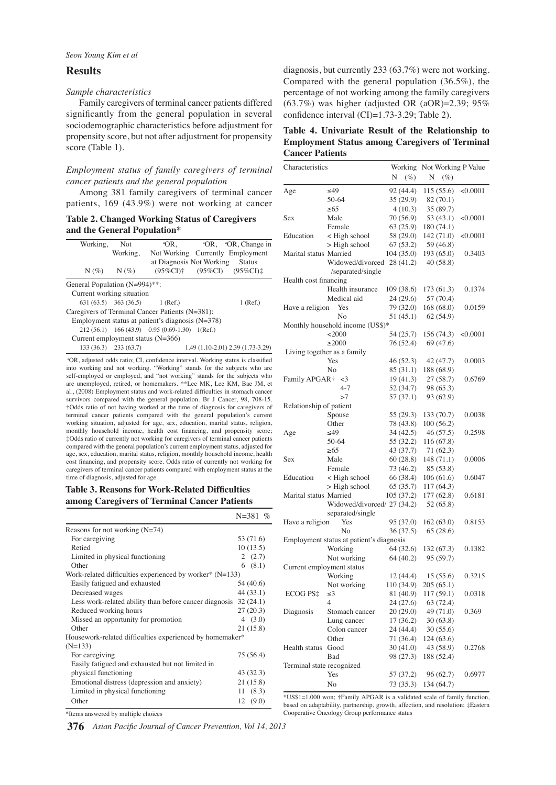## **Results**

#### *Sample characteristics*

Family caregivers of terminal cancer patients differed significantly from the general population in several sociodemographic characteristics before adjustment for propensity score, but not after adjustment for propensity score (Table 1).

## *Employment status of family caregivers of terminal cancer patients and the general population*

Among 381 family caregivers of terminal cancer patients, 169 (43.9%) were not working at cancer

**Table 2. Changed Working Status of Caregivers and the General Population\***

| Working,                                           | - Not                   | $^{\circ}$ OR.                              |  | <sup>a</sup> OR, <sup>a</sup> OR, Change in          |  |  |
|----------------------------------------------------|-------------------------|---------------------------------------------|--|------------------------------------------------------|--|--|
|                                                    | Working,                |                                             |  | Not Working Currently Employment                     |  |  |
|                                                    |                         | at Diagnosis Not Working                    |  | <b>Status</b>                                        |  |  |
| $N(\%)$ $N(\%)$                                    |                         |                                             |  | $(95\%CI)^{\dagger}$ $(95\%CI)$ $(95\%CI)^{\dagger}$ |  |  |
| General Population (N=994)**:                      |                         |                                             |  |                                                      |  |  |
| Current working situation                          |                         |                                             |  |                                                      |  |  |
|                                                    |                         | $631(63.5)$ $363(36.5)$ $1 (Ref.)$          |  | $1$ (Ref.)                                           |  |  |
| Caregivers of Terminal Cancer Patients (N=381):    |                         |                                             |  |                                                      |  |  |
| Employment status at patient's diagnosis $(N=378)$ |                         |                                             |  |                                                      |  |  |
|                                                    |                         | 212(56.1) 166(43.9) 0.95(0.69-1.30) 1(Ref.) |  |                                                      |  |  |
| Current employment status $(N=366)$                |                         |                                             |  |                                                      |  |  |
|                                                    | $133(36.3)$ $233(63.7)$ |                                             |  | 1.49 (1.10-2.01) 2.39 (1.73-3.29)                    |  |  |

<sup>a</sup>OR, adjusted odds ratio; CI, confidence interval. Working status is classified into working and not working. "Working" stands for the subjects who are self-employed or employed, and "not working" stands for the subjects who are unemployed, retired, or homemakers. \*\*Lee MK, Lee KM, Bae JM, et al., (2008) Employment status and work-related difficulties in stomach cancer survivors compared with the general population. Br J Cancer, 98, 708-15. †Odds ratio of not having worked at the time of diagnosis for caregivers of terminal cancer patients compared with the general population's current working situation, adjusted for age, sex, education, marital status, religion, monthly household income, health cost financing, and propensity score; ‡Odds ratio of currently not working for caregivers of terminal cancer patients compared with the general population's current employment status, adjusted for age, sex, education, marital status, religion, monthly household income, health cost financing, and propensity score. Odds ratio of currently not working for caregivers of terminal cancer patients compared with employment status at the time of diagnosis, adjusted for age

## **Table 3. Reasons for Work-Related Difficulties among Caregivers of Terminal Cancer Patients**

|                                                                   | $N = 381$ % |
|-------------------------------------------------------------------|-------------|
| Reasons for not working $(N=74)$                                  |             |
| For caregiving                                                    | 53 (71.6)   |
| Retied                                                            | 10(13.5)    |
| Limited in physical functioning                                   | 2(2.7)      |
| Other                                                             | 6(8.1)      |
| Work-related difficulties experienced by worker* $(N=133)$        |             |
| Easily fatigued and exhausted                                     | 54 (40.6)   |
| Decreased wages                                                   | 44 (33.1)   |
| Less work-related ability than before cancer diagnosis $32(24.1)$ |             |
| Reduced working hours                                             | 27(20.3)    |
| Missed an opportunity for promotion                               | 4(3.0)      |
| Other                                                             | 21 (15.8)   |
| Housework-related difficulties experienced by homemaker*          |             |
| $(N=133)$                                                         |             |
| For caregiving                                                    | 75 (56.4)   |
| Easily fatigued and exhausted but not limited in                  |             |
| physical functioning                                              | 43 (32.3)   |
| Emotional distress (depression and anxiety)                       | 21(15.8)    |
| Limited in physical functioning                                   | 11(8.3)     |
| Other                                                             | (9.0)<br>12 |

diagnosis, but currently 233 (63.7%) were not working. Compared with the general population (36.5%), the percentage of not working among the family caregivers (63.7%) was higher (adjusted OR (aOR)=2.39; 95% confidence interval (CI)=1.73-3.29; Table 2).

**Table 4. Univariate Result of the Relationship to Employment Status among Caregivers of Terminal Cancer Patients**

| Characteristics              |                                          |                         | Working<br>Not Working P Value |          |  |
|------------------------------|------------------------------------------|-------------------------|--------------------------------|----------|--|
|                              |                                          | N<br>$(\%)$             | $(\%)$<br>N                    |          |  |
| Age                          | $\leq 49$                                | 92(44.4)                | 115(55.6)                      | < 0.0001 |  |
|                              | 50-64                                    | 35 (29.9)               | 82 (70.1)                      |          |  |
|                              | $\geq 65$                                | 4(10.3)                 | 35 (89.7)                      |          |  |
| Sex                          | Male                                     | 70 (56.9)               | 53 (43.1)                      | < 0.0001 |  |
|                              | Female                                   | 63(25.9)                | 180 (74.1)                     |          |  |
| Education                    | < High school                            | 58 (29.0)               | 142(71.0)                      | < 0.0001 |  |
|                              | $>$ High school                          | 67(53.2)                | 59 (46.8)                      |          |  |
| Marital status Married       |                                          | 104 (35.0)              | 193(65.0)                      | 0.3403   |  |
|                              | Widowed/divorced                         | 28 (41.2)               | 40 (58.8)                      |          |  |
|                              | /separated/single                        |                         |                                |          |  |
| Health cost financing        |                                          |                         |                                |          |  |
|                              | Health insurance                         | 109 (38.6)              | 173 (61.3)                     | 0.1374   |  |
|                              | Medical aid                              | 24 (29.6)               | 57 (70.4)                      |          |  |
| Have a religion              | Yes                                      | 79 (32.0)               | 168(68.0)                      | 0.0159   |  |
|                              | No                                       | 51 (45.1)               | 62(54.9)                       |          |  |
|                              | Monthly household income (US\$)*         |                         |                                |          |  |
|                              | <2000                                    | 54 (25.7)               | 156 (74.3)                     | <0.0001  |  |
|                              | $\geq$ 2000                              | 76 (52.4)               | 69 (47.6)                      |          |  |
| Living together as a family  |                                          |                         |                                |          |  |
|                              | Yes                                      | 46 (52.3)               | 42 (47.7)                      | 0.0003   |  |
|                              | No                                       | 85 (31.1)               | 188 (68.9)                     |          |  |
| Family APGAR <sup>†</sup> <3 |                                          | 19(41.3)                | 27(58.7)                       | 0.6769   |  |
|                              | $4 - 7$                                  | 52 (34.7)               | 98 (65.3)                      |          |  |
|                              | >7                                       | 57 (37.1)               | 93 (62.9)                      |          |  |
| Relationship of patient      |                                          |                         |                                |          |  |
|                              | Spouse                                   | 55(29.3)                | 133 (70.7)                     | 0.0038   |  |
|                              | Other                                    | 78 (43.8)               | 100(56.2)                      |          |  |
| Age                          | ≤49                                      | 34(42.5)                | 46(57.5)                       | 0.2598   |  |
|                              | 50-64                                    | 55 (32.2)               | 116 (67.8)                     |          |  |
|                              | $\geq 65$                                | 43 (37.7)               | 71(62.3)                       |          |  |
| Sex                          | Male                                     | 60(28.8)                | 148 (71.1)                     | 0.0006   |  |
|                              | Female                                   | 73 (46.2)               | 85 (53.8)                      |          |  |
| Education                    | < High school                            | 66 (38.4)               | 106(61.6)                      | 0.6047   |  |
|                              | $>$ High school                          | 65(35.7)                | 117 (64.3)                     |          |  |
| Marital status Married       |                                          | 105 (37.2)              | 177(62.8)                      | 0.6181   |  |
|                              | Widowed/divorced/ 27 (34.2)              |                         | 52 (65.8)                      |          |  |
|                              | separated/single                         |                         |                                |          |  |
| Have a religion              | Yes                                      | 95(37.0)                | 162(63.0)                      | 0.8153   |  |
|                              | No                                       | 36(37.5)                | 65(28.6)                       |          |  |
|                              | Employment status at patient's diagnosis |                         |                                |          |  |
|                              | Working                                  | 64 (32.6)               | 132(67.3)                      | 0.1382   |  |
|                              | Not working                              | 64 (40.2)               | 95 (59.7)                      |          |  |
| Current employment status    |                                          |                         |                                |          |  |
|                              | Working                                  | 12(44.4)                | 15(55.6)                       | 0.3215   |  |
| ECOG PS‡                     | Not working<br>≤3                        | 110 (34.9)<br>81 (40.9) | 205(65.1)<br>117 (59.1)        |          |  |
|                              | 4                                        | 24 (27.6)               | 63 (72.4)                      | 0.0318   |  |
| Diagnosis                    | Stomach cancer                           | 20(29.0)                | 49 (71.0)                      | 0.369    |  |
|                              | Lung cancer                              | 17 (36.2)               | 30 (63.8)                      |          |  |
|                              | Colon cancer                             | 24 (44.4)               | 30(55.6)                       |          |  |
|                              | Other                                    | 71 (36.4)               | 124 (63.6)                     |          |  |
| <b>Health</b> status         | Good                                     | 30 (41.0)               | 43 (58.9)                      | 0.2768   |  |
|                              | Bad                                      | 98 (27.3)               | 188 (52.4)                     |          |  |
| Terminal state recognized    |                                          |                         |                                |          |  |
|                              | Yes                                      | 57 (37.2)               | 96 (62.7)                      | 0.6977   |  |
|                              | No                                       | 73 (35.3)               | 134 (64.7)                     |          |  |
|                              |                                          |                         |                                |          |  |

\*US\$1=1,000 won; †Family APGAR is a validated scale of family function, based on adaptability, partnership, growth, affection, and resolution; ‡Eastern Cooperative Oncology Group performance status

\*Items answered by multiple choices

*Asian Pacific Journal of Cancer Prevention, Vol 14, 2013* **376**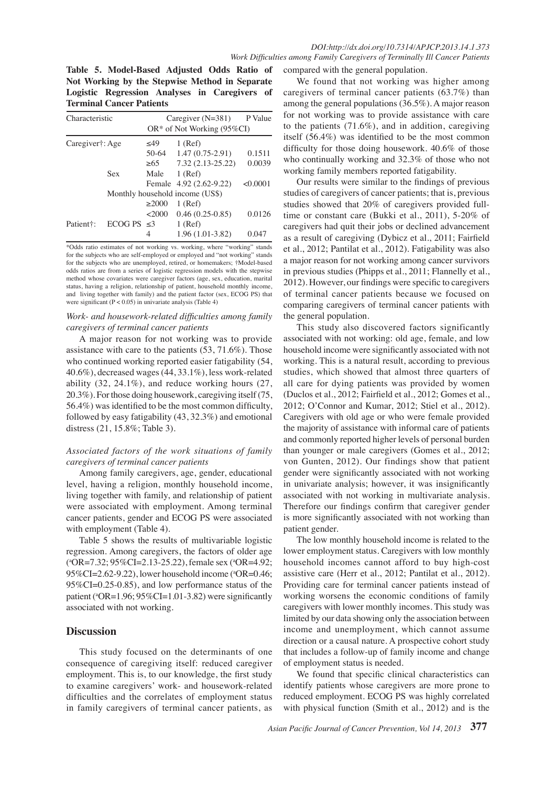**Table 5. Model-Based Adjusted Odds Ratio of Not Working by the Stepwise Method in Separate Logistic Regression Analyses in Caregivers of Terminal Cancer Patients**

| Characteristic         |                  | Caregiver $(N=381)$             | P Value                       |          |  |  |
|------------------------|------------------|---------------------------------|-------------------------------|----------|--|--|
|                        |                  |                                 | $OR^*$ of Not Working (95%CI) |          |  |  |
| Caregiver†: Age        |                  | $<$ 49                          | $1$ (Ref)                     |          |  |  |
|                        |                  | $50-64$                         | $1.47(0.75-2.91)$             | 0.1511   |  |  |
|                        |                  | >65                             | 7.32 (2.13-25.22)             | 0.0039   |  |  |
|                        | Sex              | Male                            | $1$ (Ref)                     |          |  |  |
|                        |                  |                                 | Female 4.92 (2.62-9.22)       | < 0.0001 |  |  |
|                        |                  | Monthly household income (US\$) |                               |          |  |  |
|                        |                  | $\geq$ 2000                     | $1$ (Ref)                     |          |  |  |
|                        |                  | <2000                           | $0.46(0.25-0.85)$             | 0.0126   |  |  |
| Patient <sup>†</sup> : | ECOG PS $\leq$ 3 |                                 | $1$ (Ref)                     |          |  |  |
|                        |                  | 4                               | $1.96(1.01-3.82)$             | 0.047    |  |  |

\*Odds ratio estimates of not working vs. working, where "working" stands for the subjects who are self-employed or employed and "not working" stands for the subjects who are unemployed, retired, or homemakers; †Model-based odds ratios are from a series of logistic regression models with the stepwise method whose covariates were caregiver factors (age, sex, education, marital status, having a religion, relationship of patient, household monthly income, and living together with family) and the patient factor (sex, ECOG PS) that were significant  $(P < 0.05)$  in univariate analysis (Table 4)

## *Work- and housework-related difficulties among family caregivers of terminal cancer patients*

A major reason for not working was to provide assistance with care to the patients (53, 71.6%). Those who continued working reported easier fatigability (54, 40.6%), decreased wages (44, 33.1%), less work-related ability (32, 24.1%), and reduce working hours (27, 20.3%). For those doing housework, caregiving itself (75, 56.4%) was identified to be the most common difficulty, followed by easy fatigability (43, 32.3%) and emotional distress (21, 15.8%; Table 3).

## *Associated factors of the work situations of family caregivers of terminal cancer patients*

Among family caregivers, age, gender, educational level, having a religion, monthly household income, living together with family, and relationship of patient were associated with employment. Among terminal cancer patients, gender and ECOG PS were associated with employment (Table 4).

Table 5 shows the results of multivariable logistic regression. Among caregivers, the factors of older age ( a OR=7.32; 95%CI=2.13-25.22), female sex (a OR=4.92; 95%CI=2.62-9.22), lower household income (<sup>a</sup>OR=0.46; 95%CI=0.25-0.85), and low performance status of the patient ( $^{\circ}$ OR=1.96; 95%CI=1.01-3.82) were significantly associated with not working.

## **Discussion**

This study focused on the determinants of one consequence of caregiving itself: reduced caregiver employment. This is, to our knowledge, the first study to examine caregivers' work- and housework-related difficulties and the correlates of employment status in family caregivers of terminal cancer patients, as

compared with the general population.

We found that not working was higher among caregivers of terminal cancer patients (63.7%) than among the general populations (36.5%). A major reason for not working was to provide assistance with care to the patients (71.6%), and in addition, caregiving itself (56.4%) was identified to be the most common difficulty for those doing housework. 40.6% of those who continually working and 32.3% of those who not working family members reported fatigability.

Our results were similar to the findings of previous studies of caregivers of cancer patients; that is, previous studies showed that 20% of caregivers provided fulltime or constant care (Bukki et al., 2011), 5-20% of caregivers had quit their jobs or declined advancement as a result of caregiving (Dybicz et al., 2011; Fairfield et al., 2012; Pantilat et al., 2012). Fatigability was also a major reason for not working among cancer survivors in previous studies (Phipps et al., 2011; Flannelly et al., 2012). However, our findings were specific to caregivers of terminal cancer patients because we focused on comparing caregivers of terminal cancer patients with the general population.

This study also discovered factors significantly associated with not working: old age, female, and low household income were significantly associated with not working. This is a natural result, according to previous studies, which showed that almost three quarters of all care for dying patients was provided by women (Duclos et al., 2012; Fairfield et al., 2012; Gomes et al., 2012; O'Connor and Kumar, 2012; Stiel et al., 2012). Caregivers with old age or who were female provided the majority of assistance with informal care of patients and commonly reported higher levels of personal burden than younger or male caregivers (Gomes et al., 2012; von Gunten, 2012). Our findings show that patient gender were significantly associated with not working in univariate analysis; however, it was insignificantly associated with not working in multivariate analysis. Therefore our findings confirm that caregiver gender is more significantly associated with not working than patient gender.

The low monthly household income is related to the lower employment status. Caregivers with low monthly household incomes cannot afford to buy high-cost assistive care (Herr et al., 2012; Pantilat et al., 2012). Providing care for terminal cancer patients instead of working worsens the economic conditions of family caregivers with lower monthly incomes. This study was limited by our data showing only the association between income and unemployment, which cannot assume direction or a causal nature. A prospective cohort study that includes a follow-up of family income and change of employment status is needed.

We found that specific clinical characteristics can identify patients whose caregivers are more prone to reduced employment. ECOG PS was highly correlated with physical function (Smith et al., 2012) and is the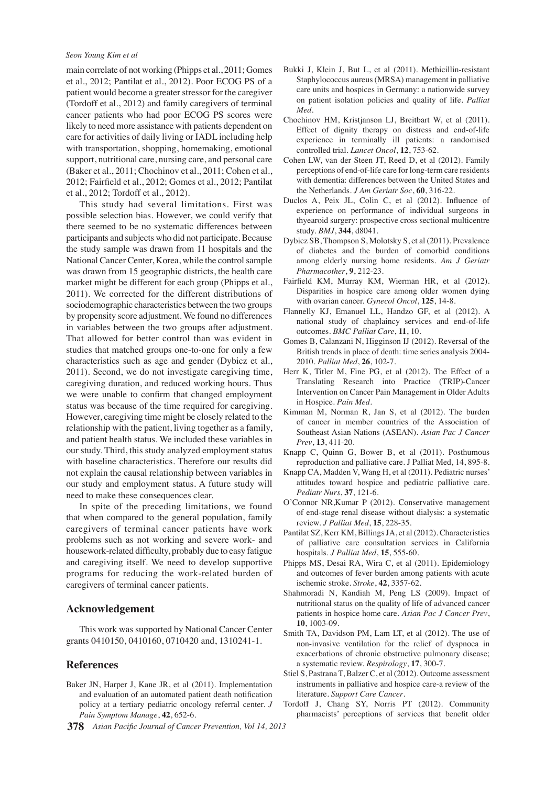#### *Seon Young Kim et al*

main correlate of not working (Phipps et al., 2011; Gomes et al., 2012; Pantilat et al., 2012). Poor ECOG PS of a patient would become a greater stressor for the caregiver (Tordoff et al., 2012) and family caregivers of terminal cancer patients who had poor ECOG PS scores were likely to need more assistance with patients dependent on care for activities of daily living or IADL including help with transportation, shopping, homemaking, emotional support, nutritional care, nursing care, and personal care (Baker et al., 2011; Chochinov et al., 2011; Cohen et al., 2012; Fairfield et al., 2012; Gomes et al., 2012; Pantilat et al., 2012; Tordoff et al., 2012).

This study had several limitations. First was possible selection bias. However, we could verify that there seemed to be no systematic differences between participants and subjects who did not participate. Because the study sample was drawn from 11 hospitals and the National Cancer Center, Korea, while the control sample was drawn from 15 geographic districts, the health care market might be different for each group (Phipps et al., 2011). We corrected for the different distributions of sociodemographic characteristics between the two groups by propensity score adjustment. We found no differences in variables between the two groups after adjustment. That allowed for better control than was evident in studies that matched groups one-to-one for only a few characteristics such as age and gender (Dybicz et al., 2011). Second, we do not investigate caregiving time, caregiving duration, and reduced working hours. Thus we were unable to confirm that changed employment status was because of the time required for caregiving. However, caregiving time might be closely related to the relationship with the patient, living together as a family, and patient health status. We included these variables in our study. Third, this study analyzed employment status with baseline characteristics. Therefore our results did not explain the causal relationship between variables in our study and employment status. A future study will need to make these consequences clear.

In spite of the preceding limitations, we found that when compared to the general population, family caregivers of terminal cancer patients have work problems such as not working and severe work- and housework-related difficulty, probably due to easy fatigue and caregiving itself. We need to develop supportive programs for reducing the work-related burden of caregivers of terminal cancer patients.

## **Acknowledgement**

This work was supported by National Cancer Center grants 0410150, 0410160, 0710420 and, 1310241-1.

## **References**

- Baker JN, Harper J, Kane JR, et al (2011). Implementation and evaluation of an automated patient death notification policy at a tertiary pediatric oncology referral center. *J Pain Symptom Manage*, **42**, 652-6.
- *Asian Pacific Journal of Cancer Prevention, Vol 14, 2013* **378**
- Bukki J, Klein J, But L, et al (2011). Methicillin-resistant Staphylococcus aureus (MRSA) management in palliative care units and hospices in Germany: a nationwide survey on patient isolation policies and quality of life. *Palliat Med*.
- Chochinov HM, Kristjanson LJ, Breitbart W, et al (2011). Effect of dignity therapy on distress and end-of-life experience in terminally ill patients: a randomised controlled trial. *Lancet Oncol*, **12**, 753-62.
- Cohen LW, van der Steen JT, Reed D, et al (2012). Family perceptions of end-of-life care for long-term care residents with dementia: differences between the United States and the Netherlands. *J Am Geriatr Soc*, **60**, 316-22.
- Duclos A, Peix JL, Colin C, et al (2012). Influence of experience on performance of individual surgeons in thyearoid surgery: prospective cross sectional multicentre study. *BMJ*, **344**, d8041.
- Dybicz SB, Thompson S, Molotsky S, et al (2011). Prevalence of diabetes and the burden of comorbid conditions among elderly nursing home residents. *Am J Geriatr Pharmacother*, **9**, 212-23.
- Fairfield KM, Murray KM, Wierman HR, et al (2012). Disparities in hospice care among older women dying with ovarian cancer. *Gynecol Oncol*, **125**, 14-8.
- Flannelly KJ, Emanuel LL, Handzo GF, et al (2012). A national study of chaplaincy services and end-of-life outcomes. *BMC Palliat Care*, **11**, 10.
- Gomes B, Calanzani N, Higginson IJ (2012). Reversal of the British trends in place of death: time series analysis 2004- 2010. *Palliat Med*, **26**, 102-7.
- Herr K, Titler M, Fine PG, et al (2012). The Effect of a Translating Research into Practice (TRIP)-Cancer Intervention on Cancer Pain Management in Older Adults in Hospice. *Pain Med*.
- Kimman M, Norman R, Jan S, et al (2012). The burden of cancer in member countries of the Association of Southeast Asian Nations (ASEAN). *Asian Pac J Cancer Prev*, **13**, 411-20.
- Knapp C, Quinn G, Bower B, et al (2011). Posthumous reproduction and palliative care. J Palliat Med, 14, 895-8.
- Knapp CA, Madden V, Wang H, et al (2011). Pediatric nurses' attitudes toward hospice and pediatric palliative care. *Pediatr Nurs*, **37**, 121-6.
- O'Connor NR,Kumar P (2012). Conservative management of end-stage renal disease without dialysis: a systematic review. *J Palliat Med*, **15**, 228-35.
- Pantilat SZ, Kerr KM, Billings JA, et al (2012). Characteristics of palliative care consultation services in California hospitals. *J Palliat Med*, **15**, 555-60.
- Phipps MS, Desai RA, Wira C, et al (2011). Epidemiology and outcomes of fever burden among patients with acute ischemic stroke. *Stroke*, **42**, 3357-62.
- Shahmoradi N, Kandiah M, Peng LS (2009). Impact of nutritional status on the quality of life of advanced cancer patients in hospice home care. *Asian Pac J Cancer Prev*, **10**, 1003-09.
- Smith TA, Davidson PM, Lam LT, et al (2012). The use of non-invasive ventilation for the relief of dyspnoea in exacerbations of chronic obstructive pulmonary disease; a systematic review. *Respirology*, **17**, 300-7.
- Stiel S, Pastrana T, Balzer C, et al (2012). Outcome assessment instruments in palliative and hospice care-a review of the literature. *Support Care Cancer*.
- Tordoff J, Chang SY, Norris PT (2012). Community pharmacists' perceptions of services that benefit older